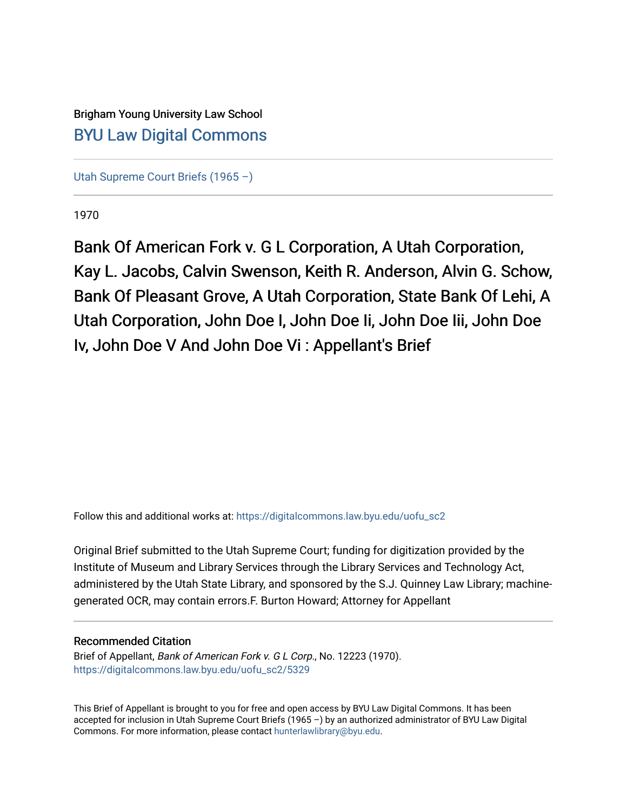## Brigham Young University Law School [BYU Law Digital Commons](https://digitalcommons.law.byu.edu/)

[Utah Supreme Court Briefs \(1965 –\)](https://digitalcommons.law.byu.edu/uofu_sc2)

1970

Bank Of American Fork v. G L Corporation, A Utah Corporation, Kay L. Jacobs, Calvin Swenson, Keith R. Anderson, Alvin G. Schow, Bank Of Pleasant Grove, A Utah Corporation, State Bank Of Lehi, A Utah Corporation, John Doe I, John Doe Ii, John Doe Iii, John Doe Iv, John Doe V And John Doe Vi : Appellant's Brief

Follow this and additional works at: [https://digitalcommons.law.byu.edu/uofu\\_sc2](https://digitalcommons.law.byu.edu/uofu_sc2?utm_source=digitalcommons.law.byu.edu%2Fuofu_sc2%2F5329&utm_medium=PDF&utm_campaign=PDFCoverPages)

Original Brief submitted to the Utah Supreme Court; funding for digitization provided by the Institute of Museum and Library Services through the Library Services and Technology Act, administered by the Utah State Library, and sponsored by the S.J. Quinney Law Library; machinegenerated OCR, may contain errors.F. Burton Howard; Attorney for Appellant

## Recommended Citation

Brief of Appellant, Bank of American Fork v. G L Corp., No. 12223 (1970). [https://digitalcommons.law.byu.edu/uofu\\_sc2/5329](https://digitalcommons.law.byu.edu/uofu_sc2/5329?utm_source=digitalcommons.law.byu.edu%2Fuofu_sc2%2F5329&utm_medium=PDF&utm_campaign=PDFCoverPages) 

This Brief of Appellant is brought to you for free and open access by BYU Law Digital Commons. It has been accepted for inclusion in Utah Supreme Court Briefs (1965 –) by an authorized administrator of BYU Law Digital Commons. For more information, please contact [hunterlawlibrary@byu.edu](mailto:hunterlawlibrary@byu.edu).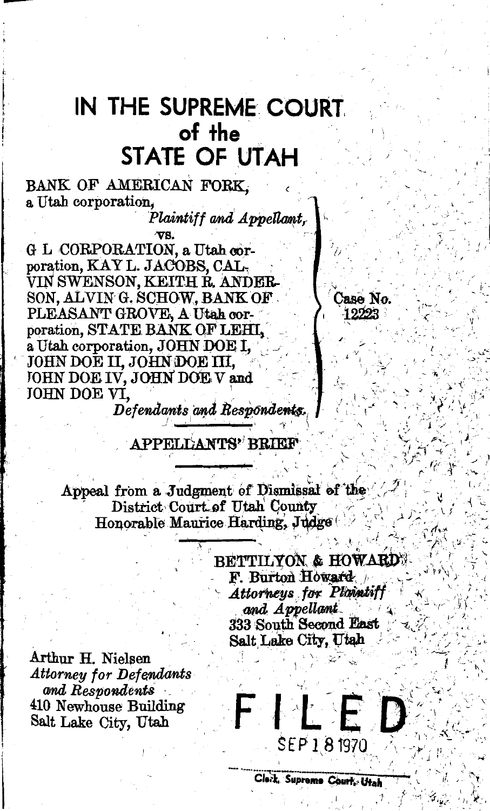# **IN THE SUPREME COURT of the** . **STATE OF UTAH**

BANK OF AMERICAN FORK,  $\acute{\textrm{}}$ a Utah corporation,

VS.

Plaintiff and Appellant,

G L CORPORATION, a Utah corporation, KAY L. JACOBS, CAL-VIN SWENSON, KEITH Ŕ, ANDER SON, ALVING. SCHOW, BANK OF PLEASANT GROVE, A Utah corporation, STATE BANK OF LEHI. a Utah corporation, JOHN DOE I, JOHN DOE II, JOHN DOE III, JOHN DOE IV, JOHN DOE V and JOHN DOE VÍ,

Defendants and Respondents.

**APPELLANTS' BRIEF** 

Appeal from a Judgment of Dismissal of the District Court of Utah County Honorable Maurice Harding, Judge

> BETTILYON & HOWARD F. Burton Howard Attorneys for Plaintif and Appellant 333 South Second East Salt Lake City, Utah

 $\mathcal{C}$  , i.e. it is a set of  $\mathcal{C}$ 

\,',' c-  $\begin{pmatrix} 1 & \mathbf{y} & \mathbf{y} & \mathbf{y} & \mathbf{y} & \mathbf{y} & \mathbf{y} & \mathbf{y} & \mathbf{y} & \mathbf{y} & \mathbf{y} & \mathbf{y} & \mathbf{y} & \mathbf{y} & \mathbf{y} & \mathbf{y} & \mathbf{y} & \mathbf{y} & \mathbf{y} & \mathbf{y} & \mathbf{y} & \mathbf{y} & \mathbf{y} & \mathbf{y} & \mathbf{y} & \mathbf{y} & \mathbf{y} & \mathbf{y} & \mathbf{y} & \mathbf{y} & \mathbf{y} & \$ - ' ' ./ ,I  $\frac{1}{2}$ 

Case No.

Arthur H. Nielsen *Attorney for Defendants OJnd Respondents* ·. 410 Newhouse Building Salt Lake City, Utah

Clerk, Supreme Court, Utah

FILED

SEP 1 8 1970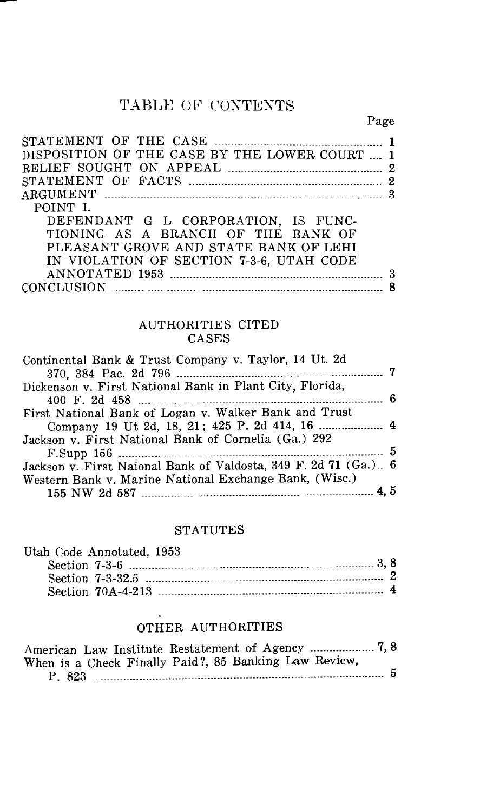## TABLE OF CONTENTS

Page

| DISPOSITION OF THE CASE BY THE LOWER COURT  1 |  |
|-----------------------------------------------|--|
|                                               |  |
|                                               |  |
|                                               |  |
| POINT I.                                      |  |
| DEFENDANT G L CORPORATION, IS FUNC-           |  |
| TIONING AS A BRANCH OF THE BANK OF            |  |
| PLEASANT GROVE AND STATE BANK OF LEHI         |  |
| IN VIOLATION OF SECTION 7-3-6, UTAH CODE      |  |
|                                               |  |
|                                               |  |

#### AUTHORITIES CITED CASES

| Continental Bank & Trust Company v. Taylor, 14 Ut. 2d           |  |
|-----------------------------------------------------------------|--|
|                                                                 |  |
| Dickenson v. First National Bank in Plant City, Florida,        |  |
|                                                                 |  |
| First National Bank of Logan v. Walker Bank and Trust           |  |
| Company 19 Ut 2d, 18, 21; 425 P. 2d 414, 16  4                  |  |
| Jackson v. First National Bank of Cornelia (Ga.) 292            |  |
|                                                                 |  |
| Jackson v. First Naional Bank of Valdosta, 349 F. 2d 71 (Ga.) 6 |  |
| Western Bank v. Marine National Exchange Bank, (Wisc.)          |  |
|                                                                 |  |

#### STATUTES

| Utah Code Annotated, 1953 |  |
|---------------------------|--|
|                           |  |
|                           |  |
|                           |  |

#### OTHER AUTHORITIES

| When is a Check Finally Paid?, 85 Banking Law Review, |  |
|-------------------------------------------------------|--|
| P. 823                                                |  |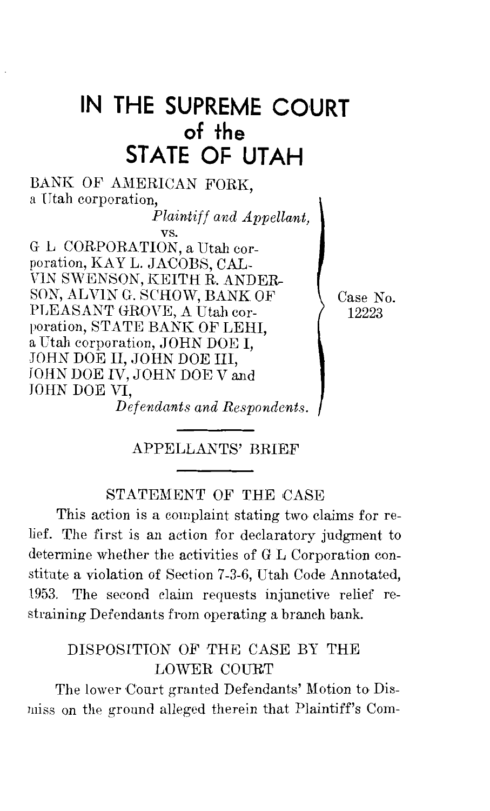# **IN THE SUPREME COURT of the STATE OF UTAH**

BANK OF AMERICAN FORK, a Utah corporation, *Plaintiff and Appellant,*  vs. G L CORPORATION, a Utah corporation, KAY L. JACOBS, CAL-VIN SWENSON, KEITH R. ANDER-SON, ALVIN G. SCHOW, BANK OF PLEASANT GROVE, A Utah corporation, STATE BANK OF LEHI, a Utah corporation, JOHN DOE I, JOHN DOE II, JOHN DOE III, JOHN DOE IV, JOHN DOE V and JOHN DOE VI, *Defendants and Respondents.* 

Case No. 12223

APPELLANTS' BRIEF

#### STATEMENT OF THE CASE

This action is a complaint stating two claims for relief. The first is an action for declaratory judgment to determine whether the activities of G L Corporation constitute a violation of Section 7-3-6, Utah Code Annotated, 1953. The second claim requests injunctive relief restraining Defendants from operating a branch bank.

### DISPOSITION OF THE CASE BY THE LOWER COURT

The lower Court granted Defendants' Motion to Dismiss on the ground alleged therein that Plaintiff's Com-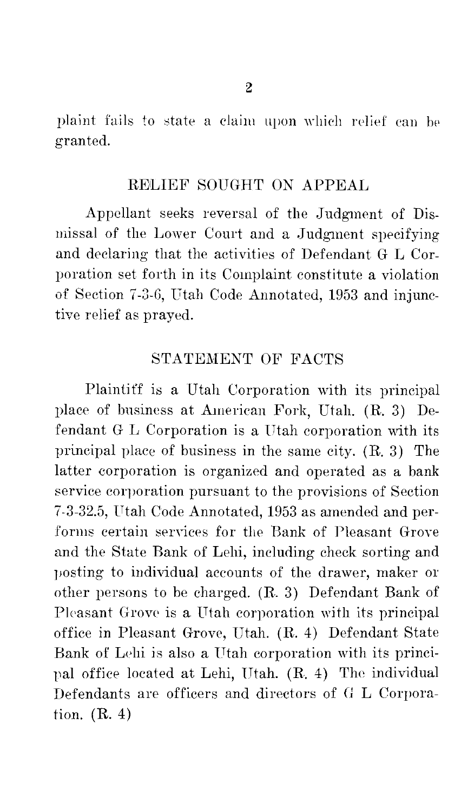plaint fails to state a claim upon which relief can be granted.

### RELIEF SOUGHT ON APPEAL

Appellant seeks reversal of the Judgment of Dismissal of the Lower Court and a Judgment specifying and declaring that the activities of Defendant G L Corporation set forth in its Complaint constitute a violation of Section 7-3-G, Utah Code Annotated, 1953 and injunctive relief as prayed.

#### STATEMENT OF FACTS

Plaintiff is a Utah Corporation with its principal place of business at American Fork, Utah. (R. 3) Defendant G  $L$  Corporation is a Utah corporation with its principal place of business in the same city. (R. 3) The latter corporation is organized and operated as a bank service corporation pursuant to the provisions of Section 7-3-32.5, Utah Code Annotated, 1953 as amended and per forms certain services for the Bank of Pleasant Grove and the State Bank of Lehi, including check sorting and posting to individual accounts of the drawer, maker or other persons to be charged. (R. 3) Defendant Bank of Pleasant Grove is a Utah corporation with its principal office in Pleasant Grove, Utah. (R. 4) Defendant State Bank of Lehi is also a Utah corporation with its principal office located at Lehi, Utah. (R. 4) The individual Defendants are officers and directors of G L Corporation. (R. 4)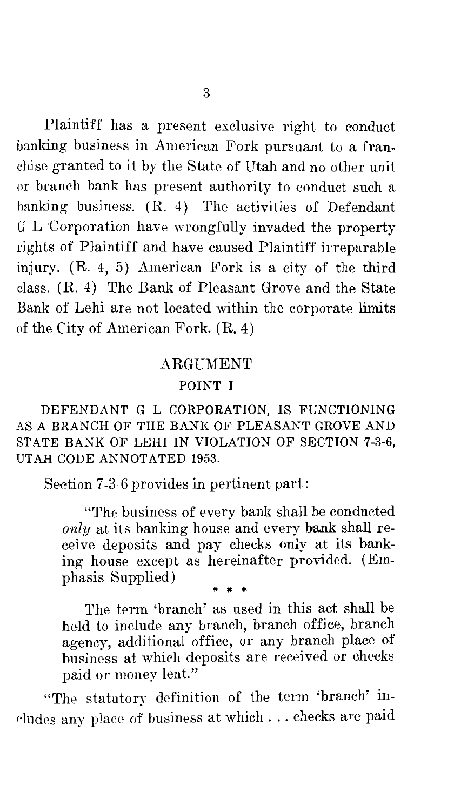Plaintiff has a present exclusive right to conduct banking business in American Fork pursuant to a franchise granted to it by the State of Utah and no other unit or branch bank has present authority to conduct such a hanking business. (R. 4) The activities of Defendant G L Corporation have wrongfully invaded the property rights of Plaintiff and have caused Plaintiff irreparable injury. (R. 4, 5) American Fork is a city of the third class. (R. 4) The Bank of Pleasant Grove and the State Bank of Lehi are not located within the corporate limits of the City of American Fork. (R. 4)

## ARGUMENT POINT I

DEFENDANT G L CORPORATION, IS FUNCTIONING AS A BRANCH OF THE BANK OF PLEASANT GROVE AND STATE BANK OF LEHI IN VIOLATION OF SECTION 7-3-6, UTAH CODE ANNOTATED 1953.

Section 7-3-6 provides in pertinent part:

"The business of every bank shall be conducted *only* at its banking house and every bank shall receive deposits and pay checks only at its banking house except as hereinafter provided. (Emphasis Supplied)

\* \* \* The term 'branch' as used in this act shall be held to include any branch, branch office, branch agency, additional office, or any branch place of business at which deposits are received or checks paid or money lent."

"The statutory definition of the term 'branch' includes any place of business at which ... checks are paid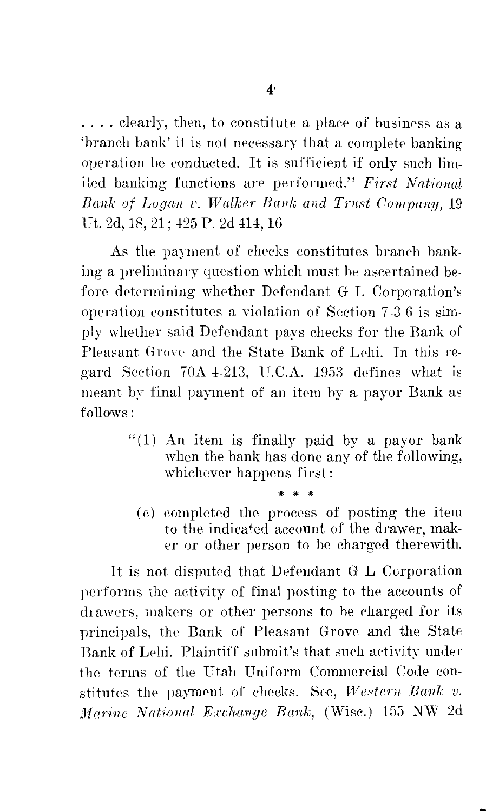$\dots$  clearly, then, to constitute a place of business as a 'branch bank' it is not necessary that a complete banking operation be conducted. It is sufficient if only such limited banking functions are performed." First National *Bank of Logan v. Walker Bank and Trust Company, 19* Ut. 2d, 18, 21; 425 P. 2d 414, 16

As the payment of checks constitutes branch banking a preliminary question which must be ascertained before determining whether Defendant G L Corporation's operation constitutes a violation of Section 7-3-6 is simply whether said Defendant pays checks for the Bank of Pleasant Ornve and the State Bank of Lehi. In this regard Section 70A-4-213, U.C.A. 1953 defines what is meant by final payment of an item by a payor Bank as follows:

- "(1) An item is finally paid by a payor bank when the bank has done any of the following, whichever happens first:
	- \* \* \* ( c) completed the process of posting the item to the indicated account of the drawer, maker or other person to be charged therewith.

It is not disputed that Defendant G L Corporation performs the activity of final posting to the accounts of drawers, makers or other persons to be charged for its principals, the Bank of Pleasant Grove and the State Bank of Lehi. Plaintiff submit's that such activity under the terms of the Utah Uniform Commercial Code constitutes the payment of checks. See, Western Bank v. *Marine National Exchange Bank, (Wisc.)* 155 NW 2d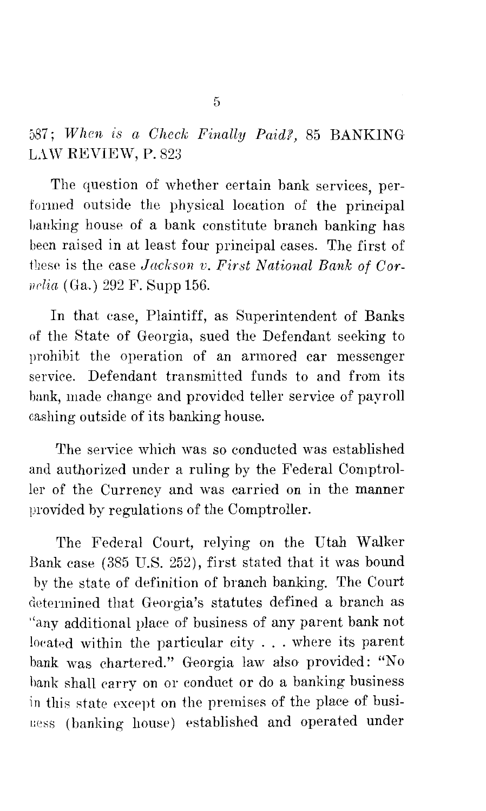## 587; *When is a Check Finally Paid?,* 85 BANKING LAW REVIEW, P. 823

The question of whether certain bank services, performed outside the physical location of the principal banking house of a bank constitute branch banking has been raised in at least four principal cases. The first of these is the case *Jackson v. First National Bank of Cor-11elin* (Ga.) 292 F. Supp 156.

In that case, Plaintiff, as Superintendent of Banks of the State of Georgia, sued the Defendant seeking to prohibit the operation of an armored car messenger service. Defendant transmitted funds to and from its hank, made change and provided teller service of payroll cashing outside of its banking house.

The service which was so conducted was established and authorized under a ruling by the Federal Comptroller of the Currency and was carried on in the manner provided by regulations of the Comptroller.

The Federal Court, relying on the Utah Walker Bank case (385 U.S. 252), first stated that it was bound by the state of definition of branch banking. The Court determined that Georgia's statutes defined a branch as ''any additional place of business of any parent bank not located within the particular city  $\dots$  where its parent bank was chartered." Georgia law also provided: "No hank shall carry on or conduct or do a banking business in this state except on the premises of the place of busiuess (banking house) established and operated under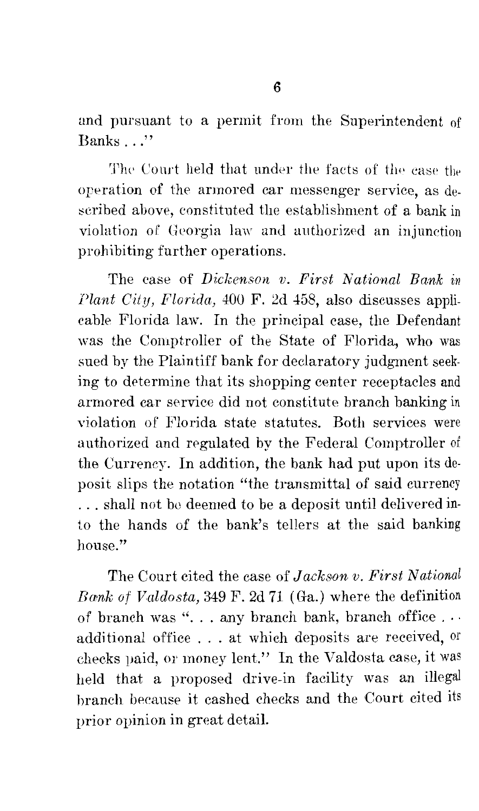and pursuant to a permit from the Superintendent of Banks ..."

The Court held that under the facts of the case the operation of the armored car messenger service, as described above, constituted the establishment of a bank in violation of Georgia law and authorized an injunction prohibiting further operations.

The case of *Dickenson v. First National Bank in Plant City, Florida,* 400 F. 2d 458, also discusses applicable Florida law. In the principal case, the Defendant was the Comptroller of the State of Florida, who was sued by the Plaintiff bank for declaratory judgment seeking to determine that its shopping center receptacles and armored car service did not constitute branch banking in violation of Florida state statutes. Both services were authorized and regulated by the Federal Comptroller of the Currency. In addition, the bank had put upon its deposit slips the notation "the transmittal of said currency ... shall not be deemed *to* be a deposit until delivered into the hands of the bank's tellers at the said banking house."

The Court cited the case of *Jackson v. First National Bank of Valdosta,* 349 F. 2d 71 (Ga.) where the definition of branch was "... any branch bank, branch office... additional office ... at which deposits are received, or checks paid, or money lent." In the Valdosta case, it was held that a proposed drive-in facility was an illegal hranch because it cashed checks and the Court cited its prior opinion in great detail.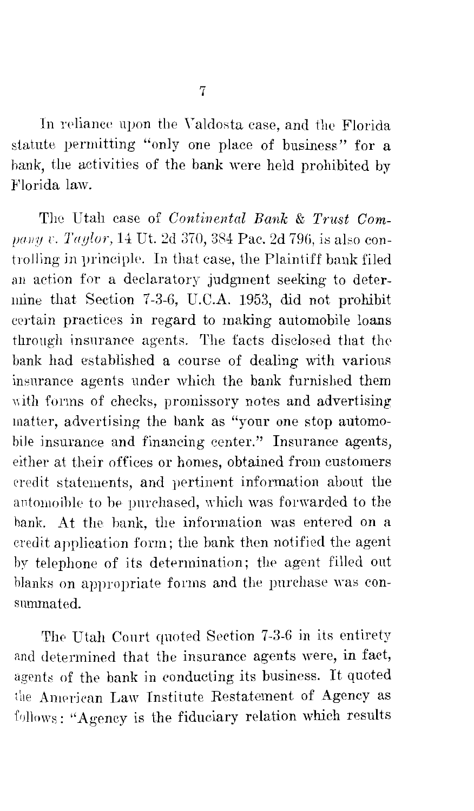In reliance upon the Valdosta case, and the Florida statute permitting "only one place of business" for a hank, the activities of the bank were held prohibited by Florida law.

The Utah case of *Continental Bank* & *Trust Company v. Taylor,* 14 Ut. 2d 370, 384 Pac. 2d 796, is also controlling in principle. In that case, the Plaintiff bank filed an action for a declaratory judgment seeking to determine that Section 7-3-6, U.C.A. 1953, did not prohibit certain practices in regard to making automobile loans through insurance agents. The facts disclosed that the bank had established a course of dealing with various insurance agents under which the bank furnished them with forms of checks, promissory notes and advertising matter, advertising the bank as "your one stop automobile insurance and financing center." Insurance agents, either at their offices or homes, obtained from customers credit statements, and pertinent information about the antomoihle to he purchased, which was forwarded to the bank. At the bank, the information was entered on a credit application form; the bank then notified the agent by telephone of its determination; the agent filled out blanks on appropriate forms and the purchase was consummated.

The Utah Court quoted Section 7-3-6 in its entirety and determined that the insurance agents were, in fact, agents of the bank in conducting its business. It quoted American Law Institute Restatement of Agency as follows: "Agency is the fiduciary relation which results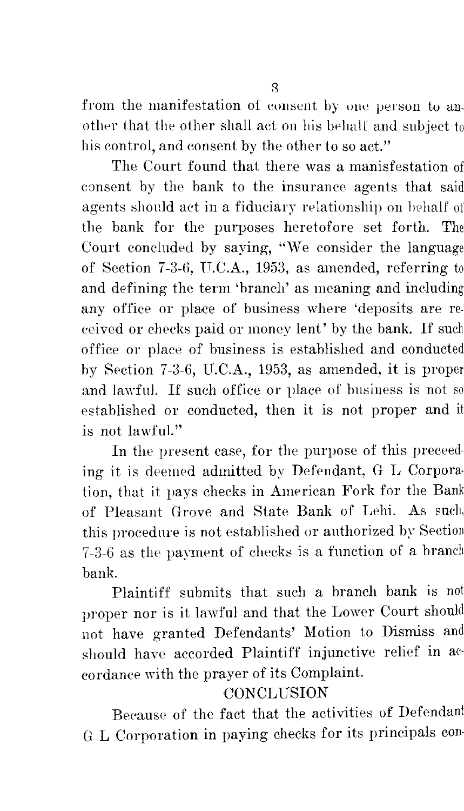from the manifestation of consent by one person to another that the other shall act on his behalf and subject to his control, and consent by the other to so act."

The Court found that there was a manisfestation of consent by the bank to the insurance agents that said agents should act in a fiduciary relationship on behalf of the bank for the purposes heretofore set forth. The Court concluded by saying, "We consider the language of Section 7-3-6, U.C.A., 1953, as amended, referring to and defining the term 'branch' as meaning and including any office or place of business where 'deposits are reteived or checks paid or money lent' by the bank. If such office or place of business is established and conducted by Section 7-3-6, U.C.A., 1953, as amended, it is proper and lawfnl. If such office or place of business is not so established or conducted, then it is not proper and it is not lawful."

In the present case, for the purpose of this preceeding it is deemed admitted by Defendant, G L Corporation, that it pays checks in American Fork for the Bank of Pleasant Grove and State Bank of Lehi. As such, this procedme is not established or authorized by Section 7-3-6 as the payrnent of checks is a function of a branch bank.

Plaintiff submits that such a branch bank is not proper nor is it lawful and that the Lower Court should not have granted Defendants' Motion to Dismiss and should have accorded Plaintiff injunctive relief in accordance with the prayer of its Complaint.

### **CONCLUSION**

Beeause of the fact that the activities of Defendant G L Corporation in paying checks for its principals con